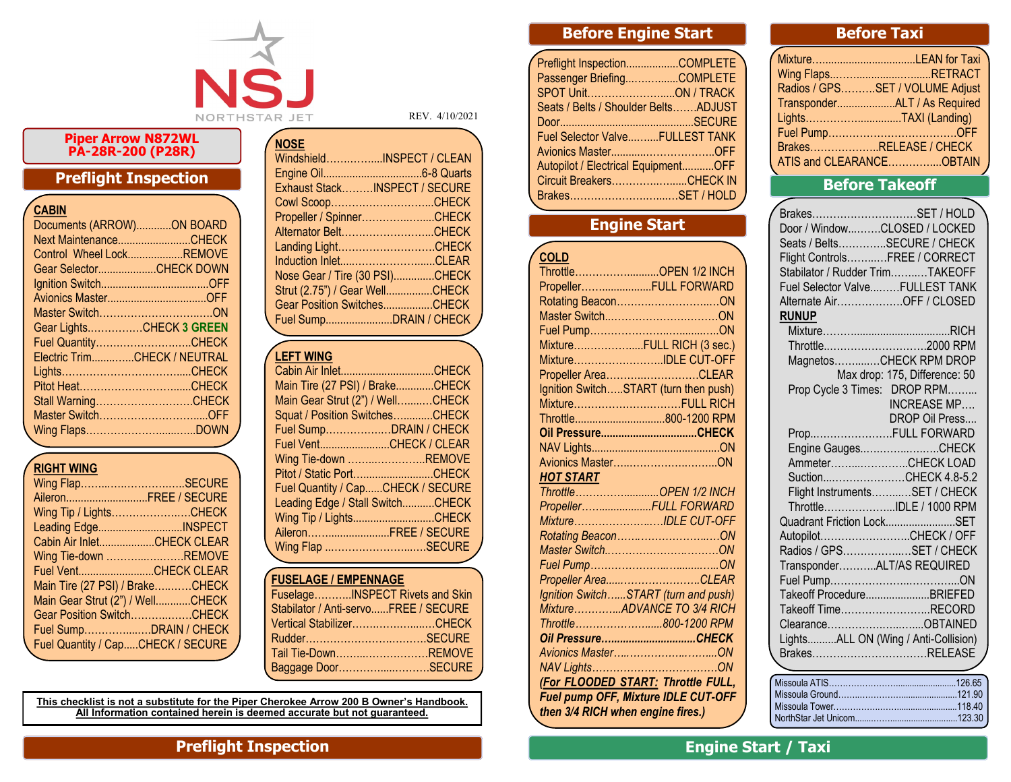

#### **Piper Arrow N872WL PA-28R-200 (P28R)**

# **Preflight Inspection**

|  | CABIN |  |
|--|-------|--|
|  |       |  |

| Documents (ARROW)ON BOARD    |  |
|------------------------------|--|
| Next MaintenanceCHECK        |  |
| Control Wheel LockREMOVE     |  |
| Gear SelectorCHECK DOWN      |  |
|                              |  |
|                              |  |
|                              |  |
| Gear LightsCHECK 3 GREEN     |  |
| Fuel QuantityCHECK           |  |
| Electric TrimCHECK / NEUTRAL |  |
|                              |  |
| Pitot HeatCHECK              |  |
| Stall WarningCHECK           |  |
| Master SwitchOFF             |  |
|                              |  |
|                              |  |

# **RIGHT WING**

| Wing FlapSECURE                   |  |
|-----------------------------------|--|
| AileronFREE / SECURE              |  |
| Wing Tip / LightsCHECK            |  |
| Leading EdgeINSPECT               |  |
| Cabin Air InletCHECK CLEAR        |  |
| Wing Tie-down REMOVE              |  |
| Fuel VentCHECK CLEAR              |  |
| Main Tire (27 PSI) / BrakeCHECK   |  |
| Main Gear Strut (2") / WellCHECK  |  |
| Gear Position SwitchCHECK         |  |
| Fuel SumpDRAIN / CHECK            |  |
| Fuel Quantity / CapCHECK / SECURE |  |
|                                   |  |

Exhaust Stack………INSPECT / SECURE Cowl Scoop………………………...CHECK Propeller / Spinner.......................CHECK Alternator Belt……………………...CHECK Landing Light…………………………CHECK Induction Inlet..................................CLEAR Nose Gear / Tire (30 PSI)..............CHECK Strut (2.75") / Gear Well................CHECK Gear Position Switches.................CHECK

Fuel Sump.......................DRAIN / CHECK

Windshield…….……....INSPECT / CLEAN Engine Oil..................................6-8 Quarts

REV. 4/10/2021

#### **LEFT WING**

**NOSE**

| Main Tire (27 PSI) / BrakeCHECK   |  |
|-----------------------------------|--|
| Main Gear Strut (2") / WellCHECK  |  |
| Squat / Position SwitchesCHECK    |  |
| Fuel SumpDRAIN / CHECK            |  |
| Fuel VentCHECK / CLEAR            |  |
| Wing Tie-down REMOVE              |  |
| Pitot / Static PortCHECK          |  |
| Fuel Quantity / CapCHECK / SECURE |  |
| Leading Edge / Stall SwitchCHECK  |  |
| Wing Tip / LightsCHECK            |  |
| AileronFREE / SECURE              |  |
| Wing Flap SECURE                  |  |
|                                   |  |

#### **FUSELAGE / EMPENNAGE**

| <b>I UJLLAUL / LIVIT LIVIVAUL</b>    |  |
|--------------------------------------|--|
| FuselageINSPECT Rivets and Skin      |  |
| Stabilator / Anti-servoFREE / SECURE |  |
| Vertical StabilizerCHECK             |  |
|                                      |  |
| Tail Tie-DownREMOVE                  |  |
| Baggage DoorSECURE                   |  |
|                                      |  |

#### **This checklist is not a substitute for the Piper Cherokee Arrow 200 B Owner's Handbook. All Information contained herein is deemed accurate but not guaranteed.**

# **Before Engine Start**

| Preflight InspectionCOMPLETE         |  |
|--------------------------------------|--|
| Passenger BriefingCOMPLETE           |  |
| SPOT UnitON / TRACK                  |  |
| Seats / Belts / Shoulder BeltsADJUST |  |
|                                      |  |
| Fuel Selector ValveFULLEST TANK      |  |
|                                      |  |
| Autopilot / Electrical EquipmentOFF  |  |
| Circuit BreakersCHECK IN             |  |
| BrakesSET / HOLD                     |  |
|                                      |  |

# **Engine Start**

| <b>COLD</b>                           |
|---------------------------------------|
| ThrottleOPEN 1/2 INCH                 |
| PropellerFULL FORWARD                 |
|                                       |
|                                       |
|                                       |
| MixtureFULL RICH (3 sec.)             |
| MixtureIDLE CUT-OFF                   |
| Propeller AreaCLEAR                   |
| Ignition SwitchSTART (turn then push) |
| MixtureFULL RICH                      |
| Throttle800-1200 RPM                  |
|                                       |
|                                       |
|                                       |
| <b>HOT START</b>                      |
| ThrottleOPEN 1/2 INCH                 |
| PropellerFULL FORWARD                 |
| MixtureIDLE CUT-OFF                   |
|                                       |
|                                       |
|                                       |
| Propeller AreaCLEAR                   |
| Ignition SwitchSTART (turn and push)  |
| MixtureADVANCE TO 3/4 RICH            |
| Throttle800-1200 RPM                  |
| Oil PressureCHECK                     |
|                                       |
|                                       |
| (For FLOODED START: Throttle FULL,    |
| Fuel pump OFF, Mixture IDLE CUT-OFF   |
| then 3/4 RICH when engine fires.)     |

# **Before Taxi**

| Wing FlapsRETRACT               |
|---------------------------------|
| Radios / GPSSET / VOLUME Adjust |
| TransponderALT / As Required    |
| LightsTAXI (Landing)            |
|                                 |
| BrakesRELEASE / CHECK           |
| ATIS and CLEARANCEOBTAIN        |

# **Before Takeoff**

| BrakesSET / HOLD                     |                               |
|--------------------------------------|-------------------------------|
| Door / WindowCLOSED / LOCKED         |                               |
| Seats / BeltsSECURE / CHECK          |                               |
| Flight ControlsFREE / CORRECT        |                               |
| Stabilator / Rudder TrimTAKEOFF      |                               |
| Fuel Selector ValveFULLEST TANK      |                               |
| Alternate AirOFF / CLOSED            |                               |
| <b>RUNUP</b>                         |                               |
|                                      |                               |
| Throttle2000 RPM                     |                               |
| MagnetosCHECK RPM DROP               |                               |
|                                      | Max drop: 175, Difference: 50 |
| Prop Cycle 3 Times: DROP RPM         |                               |
|                                      | <b>INCREASE MP</b>            |
|                                      | DROP Oil Press                |
| PropFULL FORWARD                     |                               |
| Engine GaugesCHECK                   |                               |
| AmmeterCHECK LOAD                    |                               |
| SuctionCHECK 4.8-5.2                 |                               |
| Flight InstrumentsSET / CHECK        |                               |
| ThrottleIDLE / 1000 RPM              |                               |
| Quadrant Friction LockSET            |                               |
| AutopilotCHECK / OFF                 |                               |
| Radios / GPSSET / CHECK              |                               |
| TransponderALT/AS REQUIRED           |                               |
|                                      |                               |
| Takeoff ProcedureBRIEFED             |                               |
| Takeoff TimeRECORD                   |                               |
| ClearanceOBTAINED                    |                               |
| LightsALL ON (Wing / Anti-Collision) |                               |
| BrakesRELEASE                        |                               |
|                                      |                               |

# **Preflight Inspection Engine Start / Taxi**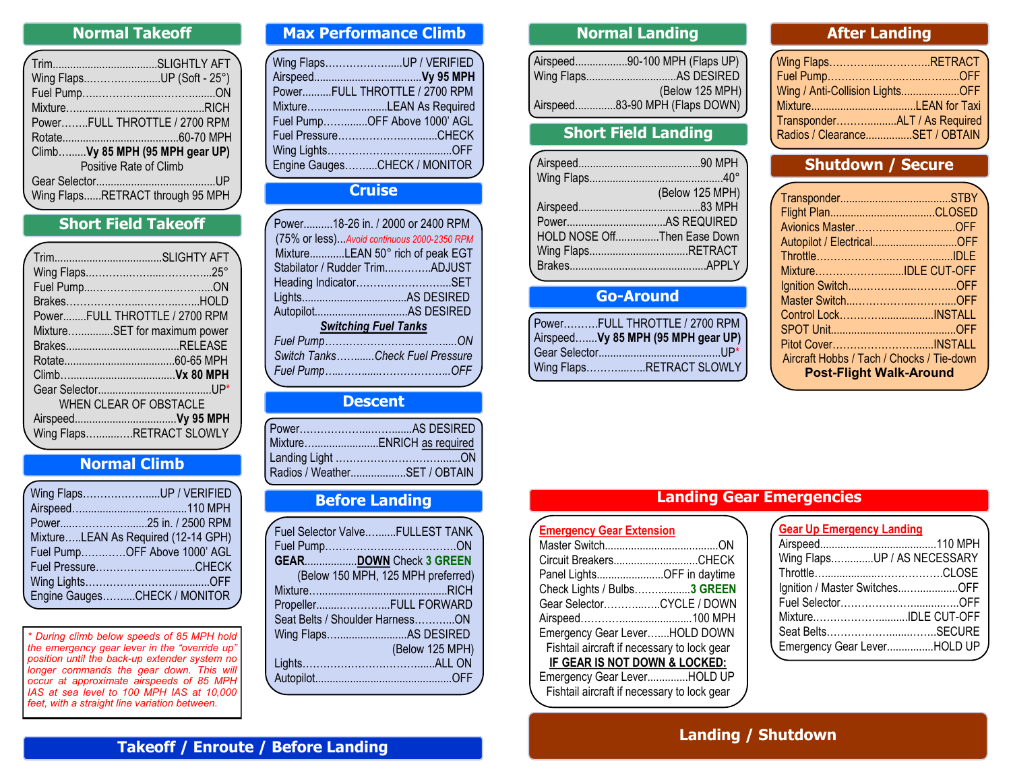# **Normal Takeoff**

| Wing FlapsUP (Soft - 25°)        |  |
|----------------------------------|--|
|                                  |  |
|                                  |  |
| PowerFULL THROTTLE / 2700 RPM    |  |
|                                  |  |
| ClimbVy 85 MPH (95 MPH gear UP)  |  |
| Positive Rate of Climb           |  |
|                                  |  |
| Wing FlapsRETRACT through 95 MPH |  |
|                                  |  |

# **Short Field Takeoff.**

|  | PowerFULL THROTTLE / 2700 RPM |
|--|-------------------------------|
|  | MixtureSET for maximum power  |
|  |                               |
|  |                               |
|  |                               |
|  |                               |
|  | WHEN CLEAR OF OBSTACLE        |
|  |                               |
|  | Wing FlapsRETRACT SLOWLY      |
|  |                               |

# **Normal Climb**

| Wing FlapsUP / VERIFIED             |
|-------------------------------------|
|                                     |
|                                     |
| MixtureLEAN As Required (12-14 GPH) |
| Fuel PumpOFF Above 1000' AGL        |
|                                     |
|                                     |
| Engine GaugesCHECK / MONITOR        |

*\* During climb below speeds of 85 MPH hold the emergency gear lever in the "override up" position until the back-up extender system no longer commands the gear down. This will occur at approximate airspeeds of 85 MPH IAS at sea level to 100 MPH IAS at 10,000 feet, with a straight line variation between.*

### **Max Performance Climb**

| / Wing FlapsUP / VERIFIED     |
|-------------------------------|
|                               |
| PowerFULL THROTTLE / 2700 RPM |
| MixtureLEAN As Required       |
| Fuel PumpOFF Above 1000' AGL  |
|                               |
|                               |
|                               |
| Engine GaugesCHECK / MONITOR  |

#### **Cruise**

| Power18-26 in. / 2000 or 2400 RPM           |  |
|---------------------------------------------|--|
| (75% or less)Avoid continuous 2000-2350 RPM |  |
| MixtureLEAN 50° rich of peak EGT            |  |
| Stabilator / Rudder TrimADJUST              |  |
| Heading IndicatorSET                        |  |
|                                             |  |
|                                             |  |
| <b>Switching Fuel Tanks</b>                 |  |
|                                             |  |
| Switch TanksCheck Fuel Pressure             |  |
| Fuel Pump………………………………OFF                    |  |
|                                             |  |

#### **Descent**

| MixtureENRICH as required    |
|------------------------------|
|                              |
| Radios / WeatherSET / OBTAIN |
|                              |

#### **Before Landing**

| Fuel Selector ValveFULLEST TANK    |
|------------------------------------|
|                                    |
| GEARDOWN Check 3 GREEN             |
| (Below 150 MPH, 125 MPH preferred) |
|                                    |
| PropellerFULL FORWARD              |
| Seat Belts / Shoulder HarnessON    |
| Wing FlapsAS DESIRED               |
| (Below 125 MPH)                    |
|                                    |
|                                    |
|                                    |

# **Normal Landing**

| Airspeed90-100 MPH (Flaps UP)  |
|--------------------------------|
|                                |
| (Below 125 MPH)                |
| Airspeed83-90 MPH (Flaps DOWN) |

# **Short Field Landing**

|                             | (Below 125 MPH) |
|-----------------------------|-----------------|
|                             |                 |
|                             |                 |
| HOLD NOSE OffThen Ease Down |                 |
| Wing FlapsRETRACT           |                 |
|                             |                 |
|                             |                 |

# **Go-Around**

| PowerFULL THROTTLE / 2700 RPM       |
|-------------------------------------|
| Airspeed Vy 85 MPH (95 MPH gear UP) |
|                                     |
| Wing FlapsRETRACT SLOWLY            |

# **After Landing**

| Wing FlapsRETRACT               |
|---------------------------------|
|                                 |
| Wing / Anti-Collision LightsOFF |
| MixtureLEAN for Taxi            |
| TransponderALT / As Required    |
| Radios / ClearanceSET / OBTAIN  |
|                                 |

# **Shutdown / Secure**

| Autopilot / ElectricalOFF                 |  |
|-------------------------------------------|--|
|                                           |  |
| MixtureIDLE CUT-OFF                       |  |
|                                           |  |
|                                           |  |
| Control LockINSTALL                       |  |
|                                           |  |
| Pitot CoverINSTALL                        |  |
| Aircraft Hobbs / Tach / Chocks / Tie-down |  |
| <b>Post-Flight Walk-Around</b>            |  |
|                                           |  |

# **Landing Gear Emergencies**

| <b>Emergency Gear Extension</b>             |
|---------------------------------------------|
|                                             |
| Circuit BreakersCHECK                       |
| Panel LightsOFF in daytime                  |
| Check Lights / Bulbs3 GREEN                 |
| Gear SelectorCYCLE / DOWN                   |
|                                             |
| Emergency Gear LeverHOLD DOWN               |
| Fishtail aircraft if necessary to lock gear |
| IF GEAR IS NOT DOWN & LOCKED:               |
| Emergency Gear LeverHOLD UP                 |
| Fishtail aircraft if necessary to lock gear |

# **Gear Up Emergency Landing**

| Wing FlapsUP / AS NECESSARY   |
|-------------------------------|
|                               |
| Ignition / Master SwitchesOFF |
|                               |
| MixtureIDLE CUT-OFF           |
|                               |
| Emergency Gear LeverHOLD UP   |
|                               |

# **Landing / Shutdown**

# **Takeoff / Enroute / Before Landing**